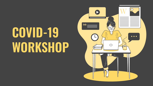# **COVID-19 WORKSHOP**

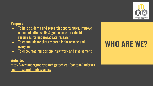

### **Purpose:**

- To help students find research opportunities, improve communication skills & gain access to valuable resources for undergraduate research
- To communicate that research is for anyone and everyone
- To encourage multidisciplinary work and involvement

#### **Website:**

[http://www.undergradresearch.gatech.edu/content/undergra](http://www.undergradresearch.gatech.edu/content/undergraduate-research-ambassadors) [duate-research-ambassadors](http://www.undergradresearch.gatech.edu/content/undergraduate-research-ambassadors)

### **WHO ARE WE?**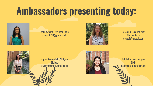### **Ambassadors presenting today:**



Ashi Awasthi, 3rd year BME: aawasthi30@gatech.edu



Carolann Espy 4th year Biochemistry: cespy7@gatech.edu



Sophia Wiesenfeld, 3rd year Biology: swiesenfeld0@gatech.edu



Deb Lobaccaro 3rd year BME: dlobaccaro3@gatech.edu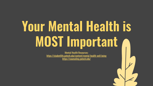# **Your Mental Health is MOST Important**

Mental Health Resources: <https://studentlife.gatech.edu/content/mental-health-well-being> <https://counseling.gatech.edu/>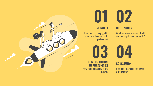

### **02 01**

How can I stay engaged in

**LOOK FOR FUTURE OPPORTUNITIES**

professors?

**03**

future?

#### **NETWORK | BUILD SKILLS**

What are some resources that I can use to gain valuable skills?



#### **CONCLUSION**

How can I stay connected with URA events?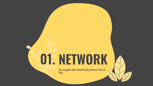# **NETWORK 01.**

Stay engaged with research and professors here at Tech.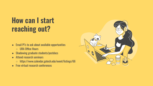### **How can I start reaching out?**

- Email PI's to ask about available opportunities
	- URA Office Hours
- Shadowing graduate students/postdocs
- Attend research seminars
	- https://www.calendar.gatech.edu/event/listings/66
- Free virtual research conferences

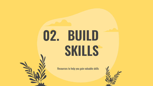# **BUILD 02.SKILLS**

Resources to help you gain valuable skills



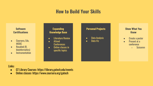### **How to Build Your Skills**

#### **Software Certifications**

- Coursera, Edx, MOOC
- Rosalind (R, bioinformatics)
- Instrumentation

#### **Expanding Knowledge Base**

- Literature Review
- Attend **Conferences**
- Online classes in specific topics

#### **Personal Projects**

- Data Analysis
- Data Viz

#### **Show What You Know**

- Create a poster
- Present at a conference
	- Scicomm

#### Links:

- GT Library Courses: https://library.gatech.edu/events
- Online classes: https://www.coursera.org/gatech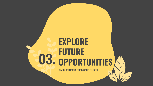### **EXPLORE FUTURE O3. OPPORTUNITIES**

How to prepare for your future in research.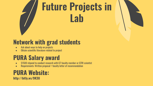# **Future Projects in Lab**

### **Network with grad students**

- Ask about ways to help on projects
- Obtain scientific literature related to project

### **PURA Salary award**

- \$1500 stipend to conduct research with GT faculty member or GTRI scientist
- Requirements: Written proposal + faculty letter of recommendation

### **PURA Website:**

**http://bitly.ws/9K3U**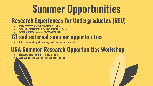## **Summer Opportunities**

### **Research Experiences for Undergraduates (REU)**

- Join a research program anywhere in the US
- Work on a project with a group of other undergrads
- Website: <https://www.nsf.gov/crssprgm/reu/>

### **GT and external summer opportunities**

<http://www.undergradresearch.gatech.edu/summer-research>

### **URA Summer Research Opportunities Workshop**

- Thursday, November 5th from 11am-12pm
- Look out for the meeting link on our social media!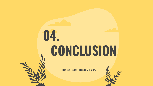# **CONCLUSION 04.**

How can I stay connected with URA?

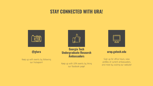### **STAY CONNECTED WITH URA!**



#### **@gtura**

Keep up with events by following our Instagram!



#### **Georgia Tech Undergraduate Research Ambassadors**

Keep up with URA events by liking our Facebook page!

#### **urop.gatech.edu**

Sign up for office hours, view profiles of current ambassadors, and more by visiting our website!